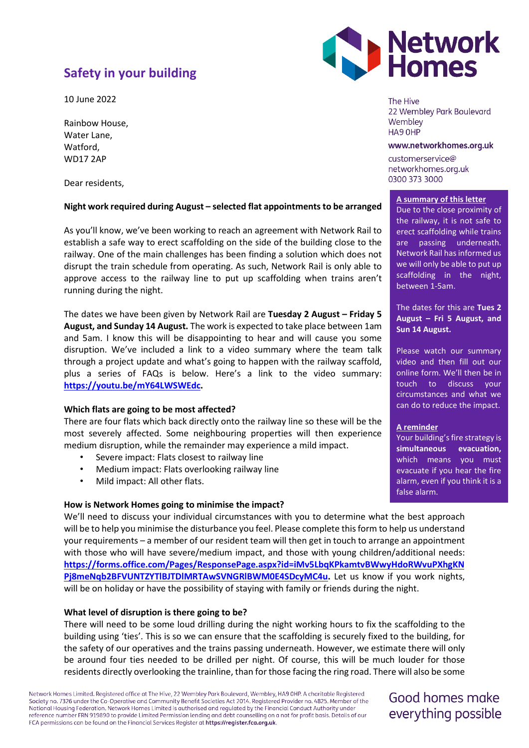# **Safety in your building**

10 June 2022

Rainbow House, Water Lane, Watford, WD17 2AP

Dear residents,

# **Night work required during August – selected flat appointments to be arranged**

As you'll know, we've been working to reach an agreement with Network Rail to establish a safe way to erect scaffolding on the side of the building close to the railway. One of the main challenges has been finding a solution which does not disrupt the train schedule from operating. As such, Network Rail is only able to approve access to the railway line to put up scaffolding when trains aren't running during the night.

The dates we have been given by Network Rail are **Tuesday 2 August – Friday 5 August, and Sunday 14 August.** The work is expected to take place between 1am and 5am. I know this will be disappointing to hear and will cause you some disruption. We've included a link to a video summary where the team talk through a project update and what's going to happen with the railway scaffold, plus a series of FAQs is below. Here's a link to the video summary: **[https://youtu.be/mY64LWSWEdc.](https://youtu.be/mY64LWSWEdc)**

### **Which flats are going to be most affected?**

There are four flats which back directly onto the railway line so these will be the most severely affected. Some neighbouring properties will then experience medium disruption, while the remainder may experience a mild impact.

- Severe impact: Flats closest to railway line
- Medium impact: Flats overlooking railway line
- Mild impact: All other flats.

### **How is Network Homes going to minimise the impact?**

We'll need to discuss your individual circumstances with you to determine what the best approach will be to help you minimise the disturbance you feel. Please complete this form to help us understand your requirements – a member of our resident team will then get in touch to arrange an appointment with those who will have severe/medium impact, and those with young children/additional needs: **[https://forms.office.com/Pages/ResponsePage.aspx?id=iMv5LbqKPkamtvBWwyHdoRWvuPXhgKN](https://forms.office.com/Pages/ResponsePage.aspx?id=iMv5LbqKPkamtvBWwyHdoRWvuPXhgKNPj8meNqb2BFVUNTZYTlBJTDlMRTAwSVNGRlBWM0E4SDcyMC4u) [Pj8meNqb2BFVUNTZYTlBJTDlMRTAwSVNGRlBWM0E4SDcyMC4u.](https://forms.office.com/Pages/ResponsePage.aspx?id=iMv5LbqKPkamtvBWwyHdoRWvuPXhgKNPj8meNqb2BFVUNTZYTlBJTDlMRTAwSVNGRlBWM0E4SDcyMC4u)** Let us know if you work nights, will be on holiday or have the possibility of staying with family or friends during the night.

### **What level of disruption is there going to be?**

There will need to be some loud drilling during the night working hours to fix the scaffolding to the building using 'ties'. This is so we can ensure that the scaffolding is securely fixed to the building, for the safety of our operatives and the trains passing underneath. However, we estimate there will only be around four ties needed to be drilled per night. Of course, this will be much louder for those residents directly overlooking the trainline, than for those facing the ring road. There will also be some

Network Homes Limited. Registered office at The Hive, 22 Wembley Park Boulevard, Wembley, HA9 OHP. A charitable Registered Society no. 7326 under the Co-Operative and Community Benefit Societies Act 2014. Registered Provider no. 4825. Member of the National Housing Federation. Network Homes Limited is authorised and regulated by the Financial Conduct Authority under reference number FRN 919890 to provide Limited Permission lending and debt counselling on a not for profit basis. Details of our FCA permissions can be found on the Financial Services Register at https://register.fca.org.uk.



The Hive 22 Wembley Park Boulevard Wemblev HA9 OHP

#### www.networkhomes.org.uk

customerservice@ networkhomes.org.uk 0300 373 3000

#### **A summary of this letter**

Due to the close proximity of the railway, it is not safe to erect scaffolding while trains are passing underneath. Network Rail has informed us we will only be able to put up scaffolding in the night, between 1-5am.

The dates for this are **Tues 2 August – Fri 5 August, and Sun 14 August.**

Please watch our summary video and then fill out our online form. We'll then be in touch to discuss your circumstances and what we can do to reduce the impact.

### **A reminder**

Your building's fire strategy is **simultaneous evacuation,** which means you must evacuate if you hear the fire alarm, even if you think it is a false alarm.

Good homes make everything possible